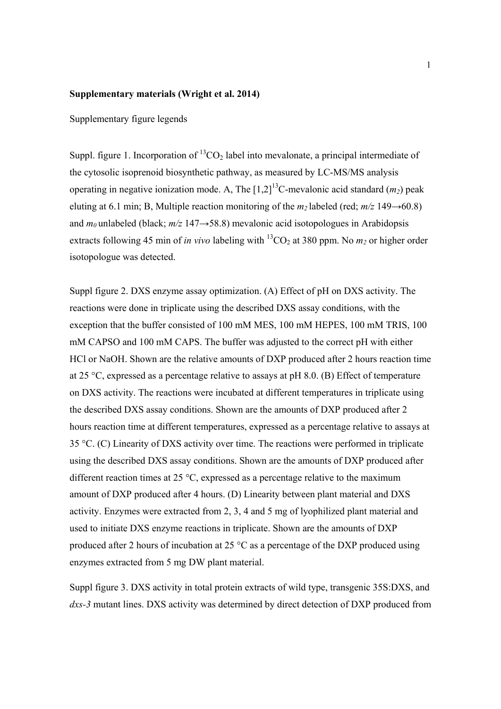## **Supplementary materials (Wright et al. 2014)**

Supplementary figure legends

Suppl. figure 1. Incorporation of  ${}^{13}CO_2$  label into mevalonate, a principal intermediate of the cytosolic isoprenoid biosynthetic pathway, as measured by LC-MS/MS analysis operating in negative ionization mode. A, The  $[1,2]^{13}$ C-mevalonic acid standard  $(m_2)$  peak eluting at 6.1 min; B, Multiple reaction monitoring of the  $m_2$  labeled (red;  $m/z$  149 $\rightarrow$ 60.8) and  $m_0$  unlabeled (black;  $m/z$  147 $\rightarrow$ 58.8) mevalonic acid isotopologues in Arabidopsis extracts following 45 min of *in vivo* labeling with <sup>13</sup>CO<sub>2</sub> at 380 ppm. No  $m_2$  or higher order isotopologue was detected.

Suppl figure 2. DXS enzyme assay optimization. (A) Effect of pH on DXS activity. The reactions were done in triplicate using the described DXS assay conditions, with the exception that the buffer consisted of 100 mM MES, 100 mM HEPES, 100 mM TRIS, 100 mM CAPSO and 100 mM CAPS. The buffer was adjusted to the correct pH with either HCl or NaOH. Shown are the relative amounts of DXP produced after 2 hours reaction time at 25 °C, expressed as a percentage relative to assays at pH 8.0. (B) Effect of temperature on DXS activity. The reactions were incubated at different temperatures in triplicate using the described DXS assay conditions. Shown are the amounts of DXP produced after 2 hours reaction time at different temperatures, expressed as a percentage relative to assays at 35 °C. (C) Linearity of DXS activity over time. The reactions were performed in triplicate using the described DXS assay conditions. Shown are the amounts of DXP produced after different reaction times at 25 °C, expressed as a percentage relative to the maximum amount of DXP produced after 4 hours. (D) Linearity between plant material and DXS activity. Enzymes were extracted from 2, 3, 4 and 5 mg of lyophilized plant material and used to initiate DXS enzyme reactions in triplicate. Shown are the amounts of DXP produced after 2 hours of incubation at 25 °C as a percentage of the DXP produced using enzymes extracted from 5 mg DW plant material.

Suppl figure 3. DXS activity in total protein extracts of wild type, transgenic 35S:DXS, and *dxs-3* mutant lines. DXS activity was determined by direct detection of DXP produced from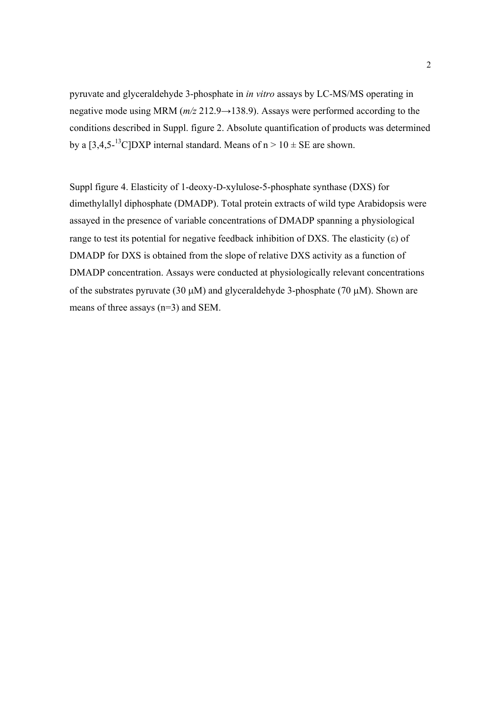pyruvate and glyceraldehyde 3-phosphate in *in vitro* assays by LC-MS/MS operating in negative mode using MRM (*m/z* 212.9→138.9). Assays were performed according to the conditions described in Suppl. figure 2. Absolute quantification of products was determined by a  $[3.4,5^{-13}C]$ DXP internal standard. Means of  $n > 10 \pm SE$  are shown.

Suppl figure 4. Elasticity of 1-deoxy-D-xylulose-5-phosphate synthase (DXS) for dimethylallyl diphosphate (DMADP). Total protein extracts of wild type Arabidopsis were assayed in the presence of variable concentrations of DMADP spanning a physiological range to test its potential for negative feedback inhibition of DXS. The elasticity  $(\epsilon)$  of DMADP for DXS is obtained from the slope of relative DXS activity as a function of DMADP concentration. Assays were conducted at physiologically relevant concentrations of the substrates pyruvate (30  $\mu$ M) and glyceraldehyde 3-phosphate (70  $\mu$ M). Shown are means of three assays (n=3) and SEM.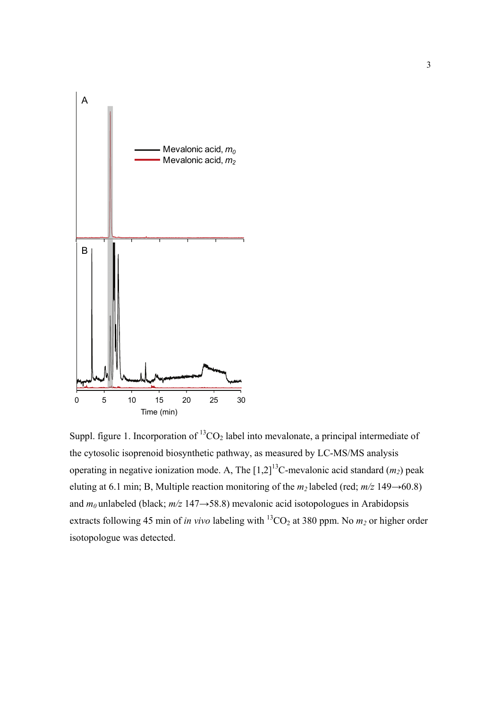

Suppl. figure 1. Incorporation of  ${}^{13}CO_2$  label into mevalonate, a principal intermediate of the cytosolic isoprenoid biosynthetic pathway, as measured by LC-MS/MS analysis operating in negative ionization mode. A, The  $[1,2]$ <sup>13</sup>C-mevalonic acid standard  $(m_2)$  peak eluting at 6.1 min; B, Multiple reaction monitoring of the  $m_2$  labeled (red;  $m/z$  149 $\rightarrow$ 60.8) and  $m_0$  unlabeled (black;  $m/z$  147 $\rightarrow$ 58.8) mevalonic acid isotopologues in Arabidopsis extracts following 45 min of *in vivo* labeling with  ${}^{13}CO_2$  at 380 ppm. No  $m_2$  or higher order isotopologue was detected.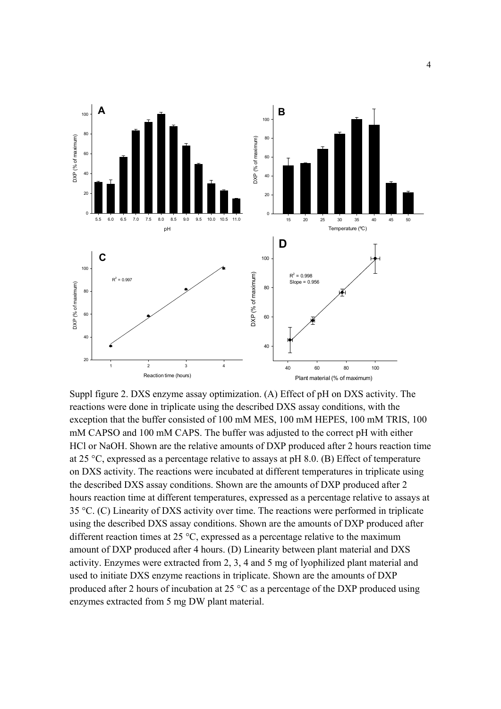

Suppl figure 2. DXS enzyme assay optimization. (A) Effect of pH on DXS activity. The reactions were done in triplicate using the described DXS assay conditions, with the exception that the buffer consisted of 100 mM MES, 100 mM HEPES, 100 mM TRIS, 100 mM CAPSO and 100 mM CAPS. The buffer was adjusted to the correct pH with either HCl or NaOH. Shown are the relative amounts of DXP produced after 2 hours reaction time at 25 °C, expressed as a percentage relative to assays at pH 8.0. (B) Effect of temperature on DXS activity. The reactions were incubated at different temperatures in triplicate using the described DXS assay conditions. Shown are the amounts of DXP produced after 2 hours reaction time at different temperatures, expressed as a percentage relative to assays at 35 °C. (C) Linearity of DXS activity over time. The reactions were performed in triplicate using the described DXS assay conditions. Shown are the amounts of DXP produced after different reaction times at 25 °C, expressed as a percentage relative to the maximum amount of DXP produced after 4 hours. (D) Linearity between plant material and DXS activity. Enzymes were extracted from 2, 3, 4 and 5 mg of lyophilized plant material and used to initiate DXS enzyme reactions in triplicate. Shown are the amounts of DXP produced after 2 hours of incubation at 25 °C as a percentage of the DXP produced using enzymes extracted from 5 mg DW plant material.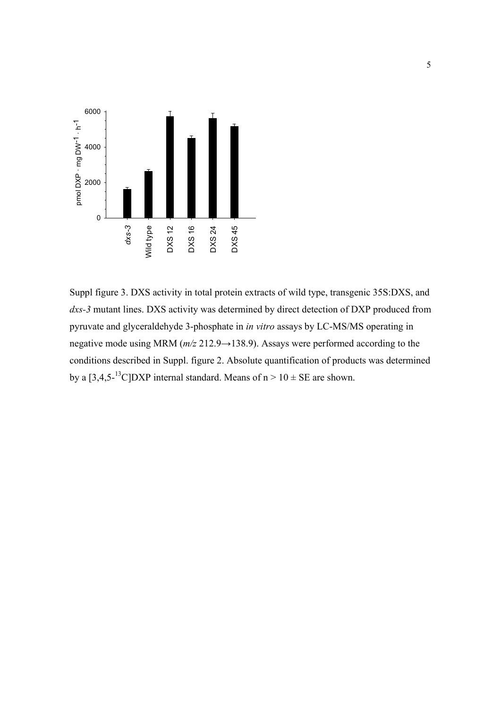

Suppl figure 3. DXS activity in total protein extracts of wild type, transgenic 35S:DXS, and *dxs-3* mutant lines. DXS activity was determined by direct detection of DXP produced from pyruvate and glyceraldehyde 3-phosphate in *in vitro* assays by LC-MS/MS operating in negative mode using MRM (*m/z* 212.9→138.9). Assays were performed according to the conditions described in Suppl. figure 2. Absolute quantification of products was determined by a  $[3,4,5^{-13}C]$ DXP internal standard. Means of  $n > 10 \pm SE$  are shown.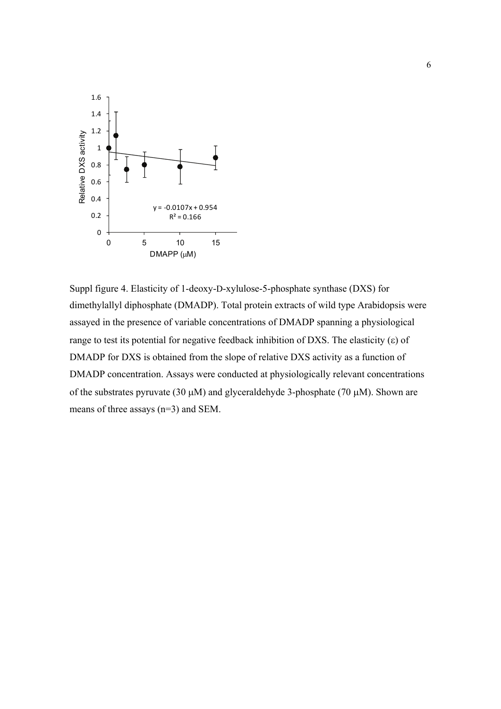

Suppl figure 4. Elasticity of 1-deoxy-D-xylulose-5-phosphate synthase (DXS) for dimethylallyl diphosphate (DMADP). Total protein extracts of wild type Arabidopsis were assayed in the presence of variable concentrations of DMADP spanning a physiological range to test its potential for negative feedback inhibition of DXS. The elasticity  $(\epsilon)$  of DMADP for DXS is obtained from the slope of relative DXS activity as a function of DMADP concentration. Assays were conducted at physiologically relevant concentrations of the substrates pyruvate (30  $\mu$ M) and glyceraldehyde 3-phosphate (70  $\mu$ M). Shown are means of three assays (n=3) and SEM.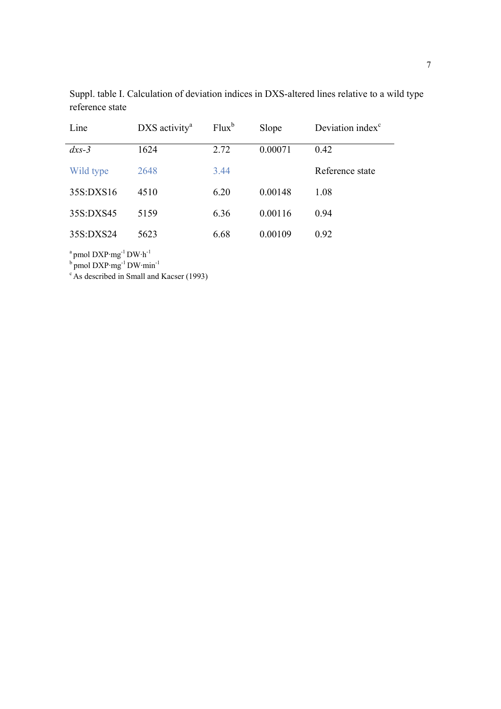| Line      | DXS activity <sup>a</sup> | $Flux^b$ | Slope   | Deviation index <sup>c</sup> |
|-----------|---------------------------|----------|---------|------------------------------|
| $dx -3$   | 1624                      | 2.72     | 0.00071 | 0.42                         |
| Wild type | 2648                      | 3.44     |         | Reference state              |
| 35S:DXS16 | 4510                      | 6.20     | 0.00148 | 1.08                         |
| 35S:DXS45 | 5159                      | 6.36     | 0.00116 | 0.94                         |
| 35S:DXS24 | 5623                      | 6.68     | 0.00109 | 0.92                         |

Suppl. table I. Calculation of deviation indices in DXS-altered lines relative to a wild type reference state

 $^{\rm a}$  pmol DXP·mg<sup>-1</sup> DW·h<sup>-1</sup>

 $^{\rm b}$  pmol DXP·mg<sup>-1</sup> DW·min<sup>-1</sup>

 $c$  As described in Small and Kacser (1993)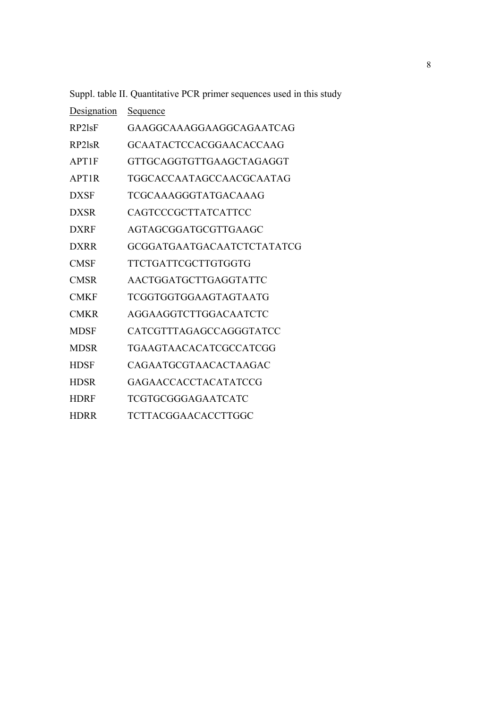| Designation        | <u>Sequence</u>             |
|--------------------|-----------------------------|
| RP2 <sub>lsF</sub> | GAAGGCAAAGGAAGGCAGAATCAG    |
| RP2 <sub>lsR</sub> | GCAATACTCCACGGAACACCAAG     |
| APT1F              | GTTGCAGGTGTTGAAGCTAGAGGT    |
| APT <sub>1R</sub>  | TGGCACCAATAGCCAACGCAATAG    |
| <b>DXSF</b>        | TCGCAAAGGGTATGACAAAG        |
| <b>DXSR</b>        | CAGTCCCGCTTATCATTCC         |
| <b>DXRF</b>        | AGTAGCGGATGCGTTGAAGC        |
| <b>DXRR</b>        | GCGGATGAATGACAATCTCTATATCG  |
| <b>CMSF</b>        | TTCTGATTCGCTTGTGGTG         |
| <b>CMSR</b>        | AACTGGATGCTTGAGGTATTC       |
| <b>CMKF</b>        | TCGGTGGTGGAAGTAGTAATG       |
| <b>CMKR</b>        | AGGAAGGTCTTGGACAATCTC       |
| <b>MDSF</b>        | CATCGTTTAGAGCCAGGGTATCC     |
| <b>MDSR</b>        | TGAAGTAACACATCGCCATCGG      |
| <b>HDSF</b>        | CAGAATGCGTAACACTAAGAC       |
| <b>HDSR</b>        | <b>GAGAACCACCTACATATCCG</b> |
| <b>HDRF</b>        | TCGTGCGGGAGAATCATC          |
| <b>HDRR</b>        | TCTTACGGAACACCTTGGC         |

Suppl. table II. Quantitative PCR primer sequences used in this study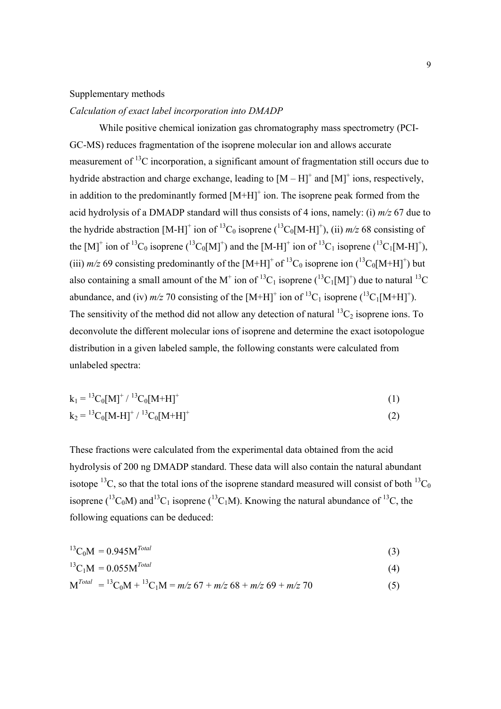## Supplementary methods

## *Calculation of exact label incorporation into DMADP*

While positive chemical ionization gas chromatography mass spectrometry (PCI-GC-MS) reduces fragmentation of the isoprene molecular ion and allows accurate measurement of <sup>13</sup>C incorporation, a significant amount of fragmentation still occurs due to hydride abstraction and charge exchange, leading to  $[M - H]^{+}$  and  $[M]^{+}$  ions, respectively, in addition to the predominantly formed  $[M+H]$ <sup>+</sup> ion. The isoprene peak formed from the acid hydrolysis of a DMADP standard will thus consists of 4 ions, namely: (i) *m/z* 67 due to the hydride abstraction  $[M-H]^+$  ion of <sup>13</sup>C<sub>0</sub> isoprene (<sup>13</sup>C<sub>0</sub>[M-H]<sup>+</sup>), (ii) *m/z* 68 consisting of the  $[M]^+$  ion of <sup>13</sup>C<sub>0</sub> isoprene (<sup>13</sup>C<sub>0</sub>[M]<sup>+</sup>) and the [M-H]<sup>+</sup> ion of <sup>13</sup>C<sub>1</sub> isoprene (<sup>13</sup>C<sub>1</sub>[M-H]<sup>+</sup>), (iii)  $m/z$  69 consisting predominantly of the  $[M+H]^+$  of <sup>13</sup>C<sub>0</sub> isoprene ion  $(^{13}C_0[M+H]^+)$  but also containing a small amount of the M<sup>+</sup> ion of <sup>13</sup>C<sub>1</sub> isoprene (<sup>13</sup>C<sub>1</sub>[M]<sup>+</sup>) due to natural <sup>13</sup>C abundance, and (iv)  $m/z$  70 consisting of the  $[M+H]$ <sup>+</sup> ion of <sup>13</sup>C<sub>1</sub> isoprene (<sup>13</sup>C<sub>1</sub>[M+H]<sup>+</sup>). The sensitivity of the method did not allow any detection of natural  ${}^{13}C_2$  isoprene ions. To deconvolute the different molecular ions of isoprene and determine the exact isotopologue distribution in a given labeled sample, the following constants were calculated from unlabeled spectra:

$$
k_1 = {}^{13}C_0[M]^+ / {}^{13}C_0[M+H]^+
$$
\n(1)

$$
k_2 = {}^{13}C_0[M-H]^+ / {}^{13}C_0[M+H]^+
$$
 (2)

These fractions were calculated from the experimental data obtained from the acid hydrolysis of 200 ng DMADP standard. These data will also contain the natural abundant isotope <sup>13</sup>C, so that the total ions of the isoprene standard measured will consist of both <sup>13</sup>C<sub>0</sub> isoprene ( ${}^{13}C_0M$ ) and  ${}^{13}C_1$  isoprene ( ${}^{13}C_1M$ ). Knowing the natural abundance of  ${}^{13}C_1$ , the following equations can be deduced:

$$
{}^{13}C_0M = 0.945M^{Total}
$$
 (3)

$$
{}^{13}C_1M = 0.055M^{Total}
$$
 (4)

$$
M^{Total} = {}^{13}C_0M + {}^{13}C_1M = m/z \ 67 + m/z \ 68 + m/z \ 69 + m/z \ 70 \tag{5}
$$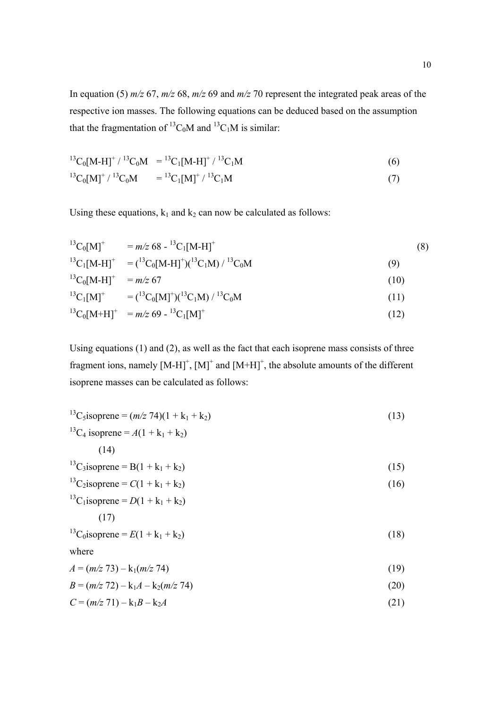In equation (5) *m/z* 67, *m/z* 68, *m/z* 69 and *m/z* 70 represent the integrated peak areas of the respective ion masses. The following equations can be deduced based on the assumption that the fragmentation of  ${}^{13}C_0M$  and  ${}^{13}C_1M$  is similar:

$$
{}^{13}C_0[M-H]^{+} / {}^{13}C_0M = {}^{13}C_1[M-H]^{+} / {}^{13}C_1M
$$
 (6)

$$
{}^{13}C_0[M]^+ / {}^{13}C_0M = {}^{13}C_1[M]^+ / {}^{13}C_1M
$$
 (7)

Using these equations,  $k_1$  and  $k_2$  can now be calculated as follows:

$$
{}^{13}C_0[M]^{+} = m/z \ 68 - {}^{13}C_1[M-H]^{+}
$$
 (8)

$$
{}^{13}C_1[M-H]^{+} = ({}^{13}C_0[M-H]^{+})({}^{13}C_1M) / {}^{13}C_0M
$$
\n(9)

$$
{}^{13}C_0[M-H]^{+} = m/z \ 67 \tag{10}
$$
\n
$$
{}^{13}C_0[M-H]^{+} = ({}^{13}C_0D)C_0({}^{13}C_0D)C_0({}^{13}C_0D)C_0({}^{13}C_0D)C_0({}^{13}C_0D)C_0({}^{13}C_0D)C_0({}^{13}C_0D)C_0({}^{13}C_0D)C_0({}^{13}C_0D)C_0({}^{13}C_0D)C_0({}^{13}C_0D)C_0({}^{13}C_0D)C_0({}^{13}C_0D)C_0({}^{13}C_0D)C_0({}^{13}C_0D)C_0({}^{13}C_0D)C_0({}^{13}C_0D)C_0({}^{13}C_0D)C_0({}^{13}C_0D)C_0({}^{13}C_0D)C_0({}^{13}C_0D)C_0({}^{13}C_0D)C_0({}^{13}C_0D)C_0({}^{13}C_0D)C_0({}^{13}C_0D)C_0({}^{13}C_0D)C_0({}^{13}C_0D)C_0({}^{13}C_0D)C_0({}^{13}C_0D)C_0({}^{13}C_0D)C_0({}^{13}C_0D)C_0({}^{13}C_0D)C_0({}^{13}C_0D)C_0({}^{13}C_0D)C_0({}^{13}C_0D)C_0({}^{13}C_0D)C_0({}^{13}C_0D)C_0({}^{13}C_0D)C_0({}^{13}C_0D)C_0({}^{13}C_0D)C_0({}^{13}C_0D)C_0({}^{13}C_0D)C_0({}^{13}C_0D)C_0({}^{13}C_0D)C_0({}^{13}C_0D)C_0({}^{13}C_0D)C_0({}^{13}C_0D)C_0({}^{13}C_0D)C_0({}^{13}C_0D)C_0({}^{13}C_0D)C_0({}^{13}C_
$$

$$
{}^{13}C_1[M]^{+} = ({}^{13}C_0[M]^{+})({}^{13}C_1M) / {}^{13}C_0M
$$
\n(11)\n  
\n
$$
{}^{13}C_1M M^{+} = ({}^{13}C_0[M]^{+})({}^{13}C_1M) / {}^{13}C_0M
$$
\n(12)

$$
{}^{13}C_0[M+H]^{+} = m/z \ 69 - {}^{13}C_1[M]^{+}
$$
\n(12)

Using equations (1) and (2), as well as the fact that each isoprene mass consists of three fragment ions, namely  $[M-H]$ <sup>+</sup>,  $[M]$ <sup>+</sup> and  $[M+H]$ <sup>+</sup>, the absolute amounts of the different isoprene masses can be calculated as follows:

$$
{}^{13}C_{5}isoprene = (m/z 74)(1 + k_{1} + k_{2})
$$
\n
$$
{}^{13}C_{4} isoprene = A(1 + k_{1} + k_{2})
$$
\n
$$
(14)
$$
\n
$$
{}^{13}C_{3}isoprene = B(1 + k_{1} + k_{2})
$$
\n
$$
{}^{13}C_{2}isoprene = C(1 + k_{1} + k_{2})
$$
\n
$$
{}^{13}C_{1}isoprene = D(1 + k_{1} + k_{2})
$$
\n
$$
{}^{13}C_{0}isoprene = E(1 + k_{1} + k_{2})
$$
\n
$$
{}^{13}C_{0}isoprene = E(1 + k_{1} + k_{2})
$$
\n
$$
{}^{13}C_{0}isoprene = E(1 + k_{1} + k_{2})
$$
\n
$$
{}^{13}C_{0}isoprene = E(1 + k_{1} + k_{2})
$$
\n
$$
A = (m/z 73) - k_{1}(m/z 74)
$$
\n
$$
B = (m/z 72) - k_{1}A - k_{2}(m/z 74)
$$
\n
$$
B = (m/z 71) - k_{1}B - k_{2}A
$$
\n
$$
(21)
$$